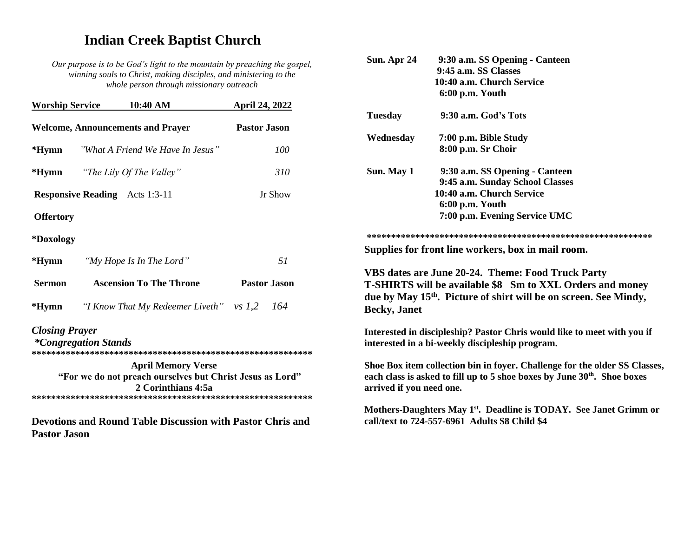# **Indian Creek Baptist Church**

*Our purpose is to be God's light to the mountain by preaching the gospel, winning souls to Christ, making disciples, and ministering to the whole person through missionary outreach*

| April 24, 2022                                                                                               |
|--------------------------------------------------------------------------------------------------------------|
| <b>Pastor Jason</b>                                                                                          |
| "What A Friend We Have In Jesus"<br>100                                                                      |
| 310                                                                                                          |
| Jr Show                                                                                                      |
|                                                                                                              |
|                                                                                                              |
| 51                                                                                                           |
| <b>Ascension To The Throne</b><br><b>Pastor Jason</b>                                                        |
| "I Know That My Redeemer Liveth" vs $1,2$ 164                                                                |
|                                                                                                              |
| <b>April Memory Verse</b><br>"For we do not preach ourselves but Christ Jesus as Lord"<br>2 Corinthians 4:5a |
|                                                                                                              |

| Sun. Apr 24              | 9:30 a.m. SS Opening - Canteen                                                                                                                                     |
|--------------------------|--------------------------------------------------------------------------------------------------------------------------------------------------------------------|
|                          | 9:45 a.m. SS Classes                                                                                                                                               |
|                          | 10:40 a.m. Church Service                                                                                                                                          |
|                          | 6:00 p.m. Youth                                                                                                                                                    |
| <b>Tuesday</b>           | 9:30 a.m. God's Tots                                                                                                                                               |
| Wednesday                | 7:00 p.m. Bible Study                                                                                                                                              |
|                          | 8:00 p.m. Sr Choir                                                                                                                                                 |
| Sun. May 1               | 9:30 a.m. SS Opening - Canteen                                                                                                                                     |
|                          | 9:45 a.m. Sunday School Classes                                                                                                                                    |
|                          | 10:40 a.m. Church Service                                                                                                                                          |
|                          | 6:00 p.m. Youth                                                                                                                                                    |
|                          | 7:00 p.m. Evening Service UMC                                                                                                                                      |
|                          |                                                                                                                                                                    |
|                          | Supplies for front line workers, box in mail room.                                                                                                                 |
|                          | VBS dates are June 20-24. Theme: Food Truck Party                                                                                                                  |
|                          | <b>T-SHIRTS will be available \$8 Sm to XXL Orders and money</b>                                                                                                   |
|                          | due by May 15 <sup>th</sup> . Picture of shirt will be on screen. See Mindy,                                                                                       |
| <b>Becky</b> , Janet     |                                                                                                                                                                    |
|                          |                                                                                                                                                                    |
|                          | Interested in discipleship? Pastor Chris would like to meet with you if<br>interested in a bi-weekly discipleship program.                                         |
| arrived if you need one. | Shoe Box item collection bin in foyer. Challenge for the older SS Classes,<br>each class is asked to fill up to 5 shoe boxes by June 30 <sup>th</sup> . Shoe boxes |
|                          | Mothers-Daughters May 1 <sup>st</sup> . Deadline is TODAY. See Janet Grimm or<br>call/text to 724-557-6961 Adults \$8 Child \$4                                    |